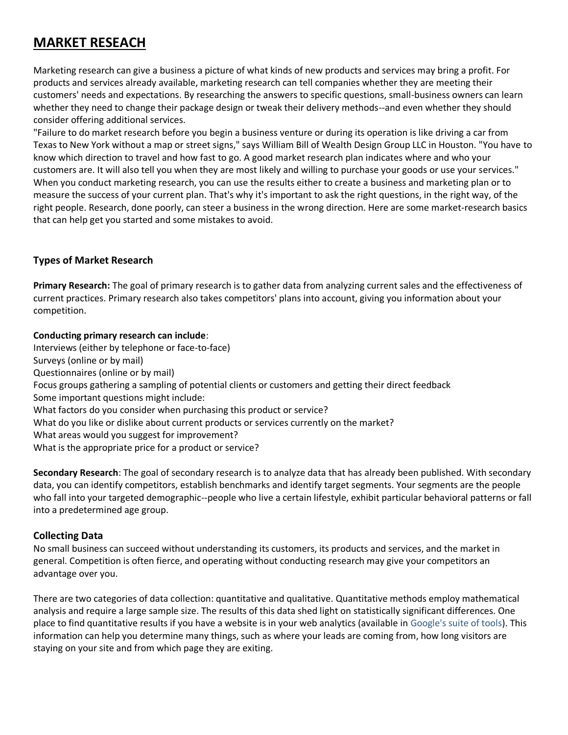# **MARKET RESEACH**

Marketing research can give a business a picture of what kinds of new products and services may bring a profit. For products and services already available, marketing research can tell companies whether they are meeting their customers' needs and expectations. By researching the answers to specific questions, small-business owners can learn whether they need to change their package design or tweak their delivery methods--and even whether they should consider offering additional services.

"Failure to do market research before you begin a business venture or during its operation is like driving a car from Texas to New York without a map or street signs," says William Bill of Wealth Design Group LLC in Houston. "You have to know which direction to travel and how fast to go. A good market research plan indicates where and who your customers are. It will also tell you when they are most likely and willing to purchase your goods or use your services." When you conduct marketing research, you can use the results either to create a business and marketing plan or to measure the success of your current plan. That's why it's important to ask the right questions, in the right way, of the right people. Research, done poorly, can steer a business in the wrong direction. Here are some market-research basics that can help get you started and some mistakes to avoid.

# **Types of Market Research**

**Primary Research:** The goal of primary research is to gather data from analyzing current sales and the effectiveness of current practices. Primary research also takes competitors' plans into account, giving you information about your competition.

### **Conducting primary research can include**:

Interviews (either by telephone or face-to-face) Surveys (online or by mail) Questionnaires (online or by mail) Focus groups gathering a sampling of potential clients or customers and getting their direct feedback Some important questions might include: What factors do you consider when purchasing this product or service? What do you like or dislike about current products or services currently on the market? What areas would you suggest for improvement? What is the appropriate price for a product or service?

**Secondary Research**: The goal of secondary research is to analyze data that has already been published. With secondary data, you can identify competitors, establish benchmarks and identify target segments. Your segments are the people who fall into your targeted demographic--people who live a certain lifestyle, exhibit particular behavioral patterns or fall into a predetermined age group.

# **Collecting Data**

No small business can succeed without understanding its customers, its products and services, and the market in general. Competition is often fierce, and operating without conducting research may give your competitors an advantage over you.

There are two categories of data collection: quantitative and qualitative. Quantitative methods employ mathematical analysis and require a large sample size. The results of this data shed light on statistically significant differences. One place to find quantitative results if you have a website is in your web analytics (available in [Google's suite of tools\)](http://www.google.com/analytics/). This information can help you determine many things, such as where your leads are coming from, how long visitors are staying on your site and from which page they are exiting.